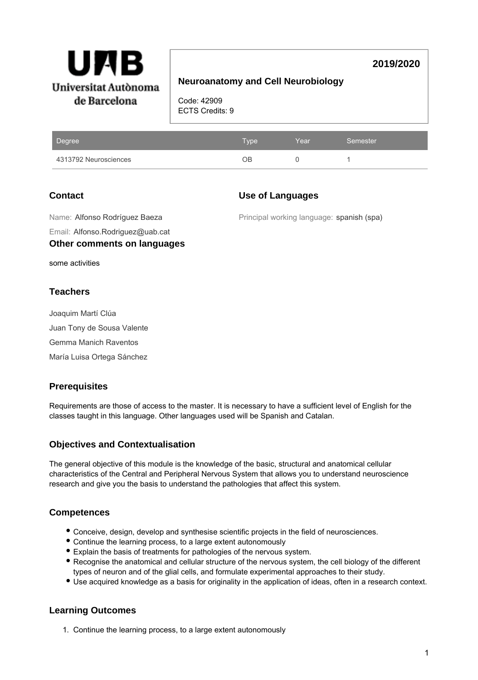

# **2019/2020**

# **Neuroanatomy and Cell Neurobiology**

Code: 42909 ECTS Credits: 9

| Degree                | Type: | Year | 'Semester |
|-----------------------|-------|------|-----------|
| 4313792 Neurosciences | NР.   |      |           |

# **Contact**

## **Use of Languages**

Email: Alfonso.Rodriguez@uab.cat Name: Alfonso Rodríguez Baeza

**Other comments on languages**

Principal working language: spanish (spa)

some activities

## **Teachers**

Joaquim Martí Clúa Juan Tony de Sousa Valente Gemma Manich Raventos María Luisa Ortega Sánchez

# **Prerequisites**

Requirements are those of access to the master. It is necessary to have a sufficient level of English for the classes taught in this language. Other languages used will be Spanish and Catalan.

# **Objectives and Contextualisation**

The general objective of this module is the knowledge of the basic, structural and anatomical cellular characteristics of the Central and Peripheral Nervous System that allows you to understand neuroscience research and give you the basis to understand the pathologies that affect this system.

## **Competences**

- Conceive, design, develop and synthesise scientific projects in the field of neurosciences.
- Continue the learning process, to a large extent autonomously
- Explain the basis of treatments for pathologies of the nervous system.
- Recognise the anatomical and cellular structure of the nervous system, the cell biology of the different types of neuron and of the glial cells, and formulate experimental approaches to their study.
- Use acquired knowledge as a basis for originality in the application of ideas, often in a research context.

## **Learning Outcomes**

1. Continue the learning process, to a large extent autonomously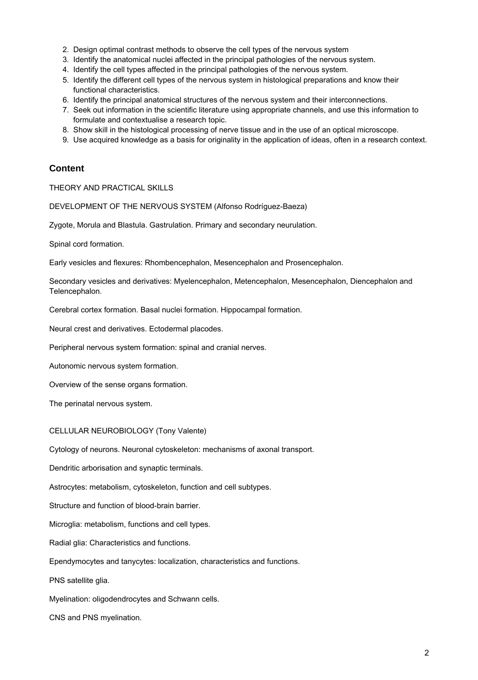- 2. Design optimal contrast methods to observe the cell types of the nervous system
- 3. Identify the anatomical nuclei affected in the principal pathologies of the nervous system.
- 4. Identify the cell types affected in the principal pathologies of the nervous system.
- 5. Identify the different cell types of the nervous system in histological preparations and know their functional characteristics.
- 6. Identify the principal anatomical structures of the nervous system and their interconnections.
- 7. Seek out information in the scientific literature using appropriate channels, and use this information to formulate and contextualise a research topic.
- 8. Show skill in the histological processing of nerve tissue and in the use of an optical microscope.
- 9. Use acquired knowledge as a basis for originality in the application of ideas, often in a research context.

### **Content**

THEORY AND PRACTICAL SKILLS

DEVELOPMENT OF THE NERVOUS SYSTEM (Alfonso Rodríguez-Baeza)

Zygote, Morula and Blastula. Gastrulation. Primary and secondary neurulation.

Spinal cord formation.

Early vesicles and flexures: Rhombencephalon, Mesencephalon and Prosencephalon.

Secondary vesicles and derivatives: Myelencephalon, Metencephalon, Mesencephalon, Diencephalon and Telencephalon.

Cerebral cortex formation. Basal nuclei formation. Hippocampal formation.

Neural crest and derivatives. Ectodermal placodes.

Peripheral nervous system formation: spinal and cranial nerves.

Autonomic nervous system formation.

Overview of the sense organs formation.

The perinatal nervous system.

#### CELLULAR NEUROBIOLOGY (Tony Valente)

Cytology of neurons. Neuronal cytoskeleton: mechanisms of axonal transport.

Dendritic arborisation and synaptic terminals.

Astrocytes: metabolism, cytoskeleton, function and cell subtypes.

Structure and function of blood-brain barrier.

Microglia: metabolism, functions and cell types.

Radial glia: Characteristics and functions.

Ependymocytes and tanycytes: localization, characteristics and functions.

PNS satellite glia.

Myelination: oligodendrocytes and Schwann cells.

CNS and PNS myelination.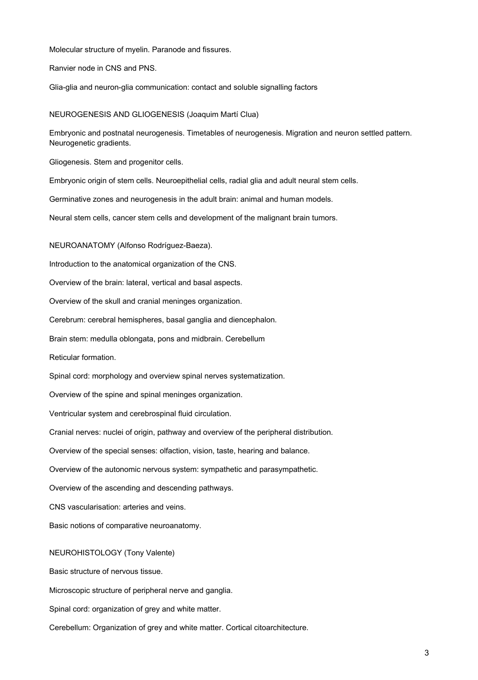Molecular structure of myelin. Paranode and fissures.

Ranvier node in CNS and PNS.

Glia-glia and neuron-glia communication: contact and soluble signalling factors

#### NEUROGENESIS AND GLIOGENESIS (Joaquim Martí Clua)

Embryonic and postnatal neurogenesis. Timetables of neurogenesis. Migration and neuron settled pattern. Neurogenetic gradients.

Gliogenesis. Stem and progenitor cells.

Embryonic origin of stem cells. Neuroepithelial cells, radial glia and adult neural stem cells.

Germinative zones and neurogenesis in the adult brain: animal and human models.

Neural stem cells, cancer stem cells and development of the malignant brain tumors.

NEUROANATOMY (Alfonso Rodríguez-Baeza).

Introduction to the anatomical organization of the CNS.

Overview of the brain: lateral, vertical and basal aspects.

Overview of the skull and cranial meninges organization.

Cerebrum: cerebral hemispheres, basal ganglia and diencephalon.

Brain stem: medulla oblongata, pons and midbrain. Cerebellum

Reticular formation.

Spinal cord: morphology and overview spinal nerves systematization.

Overview of the spine and spinal meninges organization.

Ventricular system and cerebrospinal fluid circulation.

Cranial nerves: nuclei of origin, pathway and overview of the peripheral distribution.

Overview of the special senses: olfaction, vision, taste, hearing and balance.

Overview of the autonomic nervous system: sympathetic and parasympathetic.

Overview of the ascending and descending pathways.

CNS vascularisation: arteries and veins.

Basic notions of comparative neuroanatomy.

#### NEUROHISTOLOGY (Tony Valente)

Basic structure of nervous tissue.

Microscopic structure of peripheral nerve and ganglia.

Spinal cord: organization of grey and white matter.

Cerebellum: Organization of grey and white matter. Cortical citoarchitecture.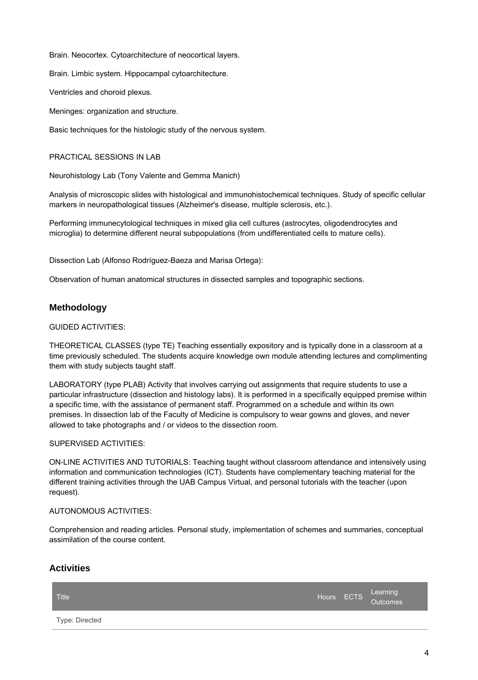Brain. Neocortex. Cytoarchitecture of neocortical layers.

Brain. Limbic system. Hippocampal cytoarchitecture.

Ventricles and choroid plexus.

Meninges: organization and structure.

Basic techniques for the histologic study of the nervous system.

#### PRACTICAL SESSIONS IN LAB

Neurohistology Lab (Tony Valente and Gemma Manich)

Analysis of microscopic slides with histological and immunohistochemical techniques. Study of specific cellular markers in neuropathological tissues (Alzheimer's disease, multiple sclerosis, etc.).

Performing immunecytological techniques in mixed glia cell cultures (astrocytes, oligodendrocytes and microglia) to determine different neural subpopulations (from undifferentiated cells to mature cells).

Dissection Lab (Alfonso Rodríguez-Baeza and Marisa Ortega):

Observation of human anatomical structures in dissected samples and topographic sections.

## **Methodology**

GUIDED ACTIVITIES:

THEORETICAL CLASSES (type TE) Teaching essentially expository and is typically done in a classroom at a time previously scheduled. The students acquire knowledge own module attending lectures and complimenting them with study subjects taught staff.

LABORATORY (type PLAB) Activity that involves carrying out assignments that require students to use a particular infrastructure (dissection and histology labs). It is performed in a specifically equipped premise within a specific time, with the assistance of permanent staff. Programmed on a schedule and within its own premises. In dissection lab of the Faculty of Medicine is compulsory to wear gowns and gloves, and never allowed to take photographs and / or videos to the dissection room.

#### SUPERVISED ACTIVITIES:

ON-LINE ACTIVITIES AND TUTORIALS: Teaching taught without classroom attendance and intensively using information and communication technologies (ICT). Students have complementary teaching material for the different training activities through the UAB Campus Virtual, and personal tutorials with the teacher (upon request).

#### AUTONOMOUS ACTIVITIES:

Comprehension and reading articles. Personal study, implementation of schemes and summaries, conceptual assimilation of the course content.

### **Activities**

| <b>Title</b>   |  | Hours ECTS Learning |
|----------------|--|---------------------|
| Type: Directed |  |                     |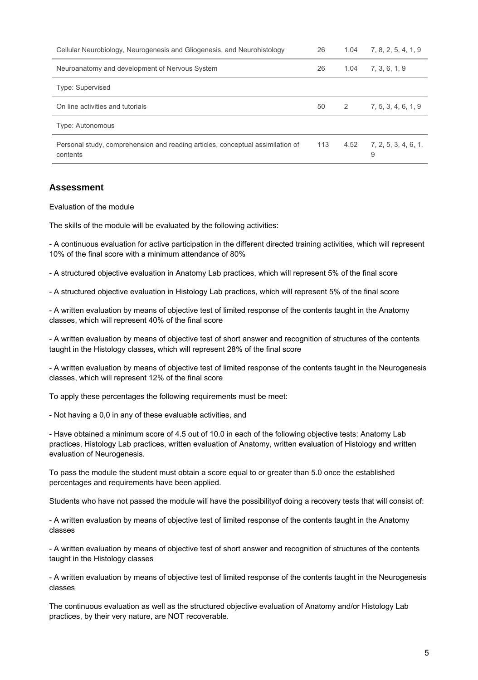| Cellular Neurobiology, Neurogenesis and Gliogenesis, and Neurohistology                    | 26  | 1.04 | 7, 8, 2, 5, 4, 1, 9         |
|--------------------------------------------------------------------------------------------|-----|------|-----------------------------|
| Neuroanatomy and development of Nervous System                                             | 26  | 1.04 | 7, 3, 6, 1, 9               |
| Type: Supervised                                                                           |     |      |                             |
| On line activities and tutorials                                                           | 50  | 2    | 7, 5, 3, 4, 6, 1, 9         |
| <b>Type: Autonomous</b>                                                                    |     |      |                             |
| Personal study, comprehension and reading articles, conceptual assimilation of<br>contents | 113 |      | $4.52$ $7.2.5.3.4.6.1$<br>9 |

## **Assessment**

Evaluation of the module

The skills of the module will be evaluated by the following activities:

- A continuous evaluation for active participation in the different directed training activities, which will represent 10% of the final score with a minimum attendance of 80%

- A structured objective evaluation in Anatomy Lab practices, which will represent 5% of the final score

- A structured objective evaluation in Histology Lab practices, which will represent 5% of the final score

- A written evaluation by means of objective test of limited response of the contents taught in the Anatomy classes, which will represent 40% of the final score

- A written evaluation by means of objective test of short answer and recognition of structures of the contents taught in the Histology classes, which will represent 28% of the final score

- A written evaluation by means of objective test of limited response of the contents taught in the Neurogenesis classes, which will represent 12% of the final score

To apply these percentages the following requirements must be meet:

- Not having a 0,0 in any of these evaluable activities, and

- Have obtained a minimum score of 4.5 out of 10.0 in each of the following objective tests: Anatomy Lab practices, Histology Lab practices, written evaluation of Anatomy, written evaluation of Histology and written evaluation of Neurogenesis.

To pass the module the student must obtain a score equal to or greater than 5.0 once the established percentages and requirements have been applied.

Students who have not passed the module will have the possibilityof doing a recovery tests that will consist of:

- A written evaluation by means of objective test of limited response of the contents taught in the Anatomy classes

- A written evaluation by means of objective test of short answer and recognition of structures of the contents taught in the Histology classes

- A written evaluation by means of objective test of limited response of the contents taught in the Neurogenesis classes

The continuous evaluation as well as the structured objective evaluation of Anatomy and/or Histology Lab practices, by their very nature, are NOT recoverable.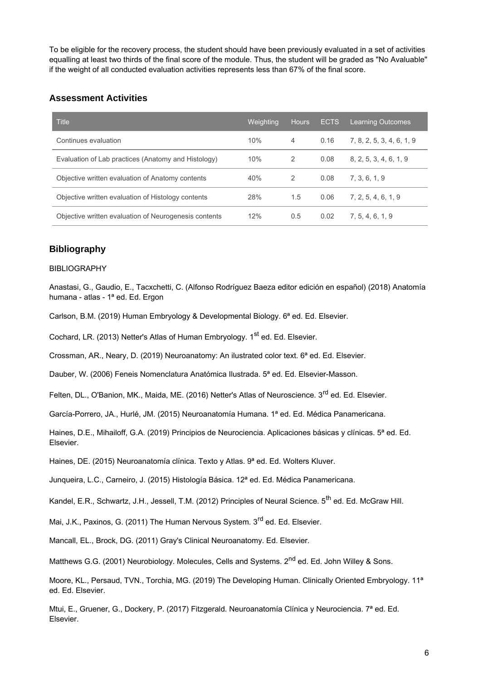To be eligible for the recovery process, the student should have been previously evaluated in a set of activities equalling at least two thirds of the final score of the module. Thus, the student will be graded as "No Avaluable" if the weight of all conducted evaluation activities represents less than 67% of the final score.

### **Assessment Activities**

| <b>Title</b>                                          | Weighting | <b>Hours</b> | <b>ECTS</b> | <b>Learning Outcomes</b>  |
|-------------------------------------------------------|-----------|--------------|-------------|---------------------------|
| Continues evaluation                                  | 10%       | 4            | 0.16        | 7, 8, 2, 5, 3, 4, 6, 1, 9 |
| Evaluation of Lab practices (Anatomy and Histology)   | 10%       | 2            | 0.08        | 8, 2, 5, 3, 4, 6, 1, 9    |
| Objective written evaluation of Anatomy contents      | 40%       | 2            | 0.08        | 7.3.6.1.9                 |
| Objective written evaluation of Histology contents    | 28%       | 1.5          | 0.06        | 7, 2, 5, 4, 6, 1, 9       |
| Objective written evaluation of Neurogenesis contents | 12%       | 0.5          | 0.02        | 7, 5, 4, 6, 1, 9          |

### **Bibliography**

#### BIBLIOGRAPHY

Anastasi, G., Gaudio, E., Tacxchetti, C. (Alfonso Rodríguez Baeza editor edición en español) (2018) Anatomía humana - atlas - 1<sup>ª</sup> ed. Ed. Ergon

Carlson, B.M. (2019) Human Embryology & Developmental Biology. 6ª ed. Ed. Elsevier.

Cochard, LR. (2013) Netter's Atlas of Human Embryology. 1<sup>st</sup> ed. Ed. Elsevier.

Crossman, AR., Neary, D. (2019) Neuroanatomy: An ilustrated color text. 6ª ed. Ed. Elsevier.

Dauber, W. (2006) Feneis Nomenclatura Anatómica Ilustrada. 5ª ed. Ed. Elsevier-Masson.

Felten, DL., O'Banion, MK., Maida, ME. (2016) Netter's Atlas of Neuroscience. 3<sup>rd</sup> ed. Ed. Elsevier.

García-Porrero, JA., Hurlé, JM. (2015) Neuroanatomía Humana. 1ª ed. Ed. Médica Panamericana.

Haines, D.E., Mihailoff, G.A. (2019) Principios de Neurociencia. Aplicaciones básicas y clínicas. 5ª ed. Ed. Elsevier.

Haines, DE. (2015) Neuroanatomía clínica. Texto y Atlas. 9ª ed. Ed. Wolters Kluver.

Junqueira, L.C., Carneiro, J. (2015) Histología Básica. 12<sup>a</sup> ed. Ed. Médica Panamericana.

Kandel, E.R., Schwartz, J.H., Jessell, T.M. (2012) Principles of Neural Science. 5<sup>th</sup> ed. Ed. McGraw Hill.

Mai, J.K., Paxinos, G. (2011) The Human Nervous System. 3<sup>rd</sup> ed. Ed. Elsevier.

Mancall, EL., Brock, DG. (2011) Gray's Clinical Neuroanatomy. Ed. Elsevier.

Matthews G.G. (2001) Neurobiology. Molecules, Cells and Systems. 2<sup>nd</sup> ed. Ed. John Willey & Sons.

Moore, KL., Persaud, TVN., Torchia, MG. (2019) The Developing Human. Clinically Oriented Embryology. 11<sup>a</sup> ed. Ed. Elsevier.

Mtui, E., Gruener, G., Dockery, P. (2017) Fitzgerald. Neuroanatomía Clínica y Neurociencia. 7ª ed. Ed. Elsevier.